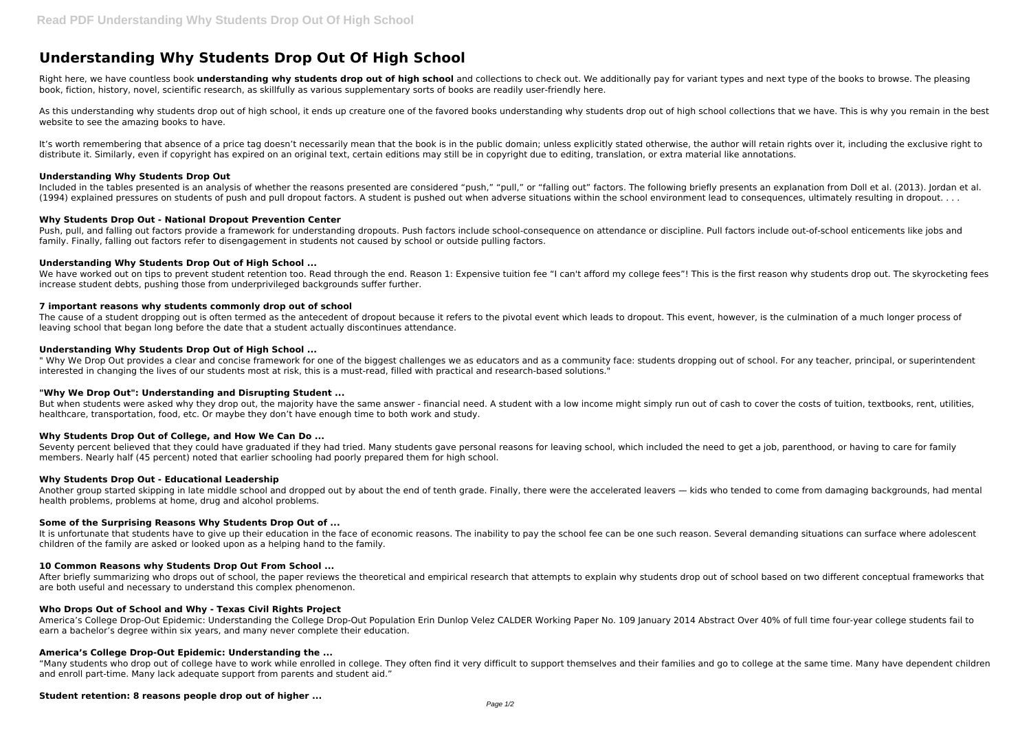# **Understanding Why Students Drop Out Of High School**

Right here, we have countless book *understanding why students drop out of high school* and collections to check out. We additionally pay for variant types and next type of the books to browse. The pleasing book, fiction, history, novel, scientific research, as skillfully as various supplementary sorts of books are readily user-friendly here.

As this understanding why students drop out of high school, it ends up creature one of the favored books understanding why students drop out of high school collections that we have. This is why you remain in the best website to see the amazing books to have.

It's worth remembering that absence of a price tag doesn't necessarily mean that the book is in the public domain; unless explicitly stated otherwise, the author will retain rights over it, including the exclusive right to distribute it. Similarly, even if copyright has expired on an original text, certain editions may still be in copyright due to editing, translation, or extra material like annotations.

Push, pull, and falling out factors provide a framework for understanding dropouts. Push factors include school-consequence on attendance or discipline. Pull factors include out-of-school enticements like jobs and family. Finally, falling out factors refer to disengagement in students not caused by school or outside pulling factors.

## **Understanding Why Students Drop Out**

We have worked out on tips to prevent student retention too. Read through the end. Reason 1: Expensive tuition fee "I can't afford my college fees"! This is the first reason why students drop out. The skyrocketing fees increase student debts, pushing those from underprivileged backgrounds suffer further.

The cause of a student dropping out is often termed as the antecedent of dropout because it refers to the pivotal event which leads to dropout. This event, however, is the culmination of a much longer process of leaving school that began long before the date that a student actually discontinues attendance.

Included in the tables presented is an analysis of whether the reasons presented are considered "push," "pull," or "falling out" factors. The following briefly presents an explanation from Doll et al. (2013). Jordan et al. (1994) explained pressures on students of push and pull dropout factors. A student is pushed out when adverse situations within the school environment lead to consequences, ultimately resulting in dropout. . . .

" Why We Drop Out provides a clear and concise framework for one of the biggest challenges we as educators and as a community face: students dropping out of school. For any teacher, principal, or superintendent interested in changing the lives of our students most at risk, this is a must-read, filled with practical and research-based solutions."

## **Why Students Drop Out - National Dropout Prevention Center**

But when students were asked why they drop out, the majority have the same answer - financial need. A student with a low income might simply run out of cash to cover the costs of tuition, textbooks, rent, utilities, healthcare, transportation, food, etc. Or maybe they don't have enough time to both work and study.

Seventy percent believed that they could have graduated if they had tried. Many students gave personal reasons for leaving school, which included the need to get a job, parenthood, or having to care for family members. Nearly half (45 percent) noted that earlier schooling had poorly prepared them for high school.

# **Understanding Why Students Drop Out of High School ...**

It is unfortunate that students have to give up their education in the face of economic reasons. The inability to pay the school fee can be one such reason. Several demanding situations can surface where adolescent children of the family are asked or looked upon as a helping hand to the family.

## **7 important reasons why students commonly drop out of school**

After briefly summarizing who drops out of school, the paper reviews the theoretical and empirical research that attempts to explain why students drop out of school based on two different conceptual frameworks that are both useful and necessary to understand this complex phenomenon.

## **Understanding Why Students Drop Out of High School ...**

## **"Why We Drop Out": Understanding and Disrupting Student ...**

## **Why Students Drop Out of College, and How We Can Do ...**

## **Why Students Drop Out - Educational Leadership**

Another group started skipping in late middle school and dropped out by about the end of tenth grade. Finally, there were the accelerated leavers — kids who tended to come from damaging backgrounds, had mental health problems, problems at home, drug and alcohol problems.

## **Some of the Surprising Reasons Why Students Drop Out of ...**

## **10 Common Reasons why Students Drop Out From School ...**

## **Who Drops Out of School and Why - Texas Civil Rights Project**

America's College Drop-Out Epidemic: Understanding the College Drop-Out Population Erin Dunlop Velez CALDER Working Paper No. 109 January 2014 Abstract Over 40% of full time four-year college students fail to earn a bachelor's degree within six years, and many never complete their education.

## **America's College Drop-Out Epidemic: Understanding the ...**

"Many students who drop out of college have to work while enrolled in college. They often find it very difficult to support themselves and their families and go to college at the same time. Many have dependent children and enroll part-time. Many lack adequate support from parents and student aid."

# **Student retention: 8 reasons people drop out of higher ...**